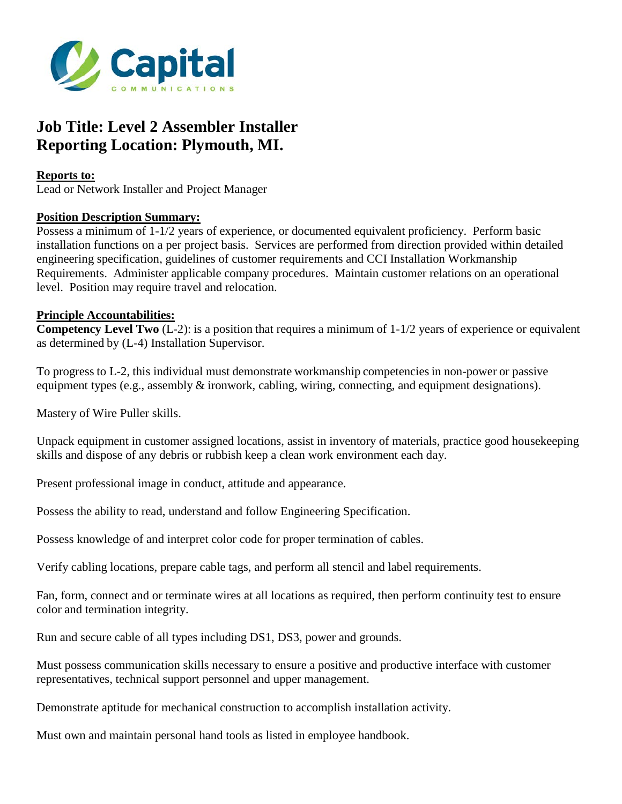

# **Job Title: Level 2 Assembler Installer Reporting Location: Plymouth, MI.**

#### **Reports to:**

Lead or Network Installer and Project Manager

### **Position Description Summary:**

Possess a minimum of 1-1/2 years of experience, or documented equivalent proficiency. Perform basic installation functions on a per project basis. Services are performed from direction provided within detailed engineering specification, guidelines of customer requirements and CCI Installation Workmanship Requirements. Administer applicable company procedures. Maintain customer relations on an operational level. Position may require travel and relocation.

#### **Principle Accountabilities:**

**Competency Level Two** (L-2): is a position that requires a minimum of 1-1/2 years of experience or equivalent as determined by (L-4) Installation Supervisor.

To progress to L-2, this individual must demonstrate workmanship competenciesin non-power or passive equipment types (e.g., assembly  $\&$  ironwork, cabling, wiring, connecting, and equipment designations).

Mastery of Wire Puller skills.

Unpack equipment in customer assigned locations, assist in inventory of materials, practice good housekeeping skills and dispose of any debris or rubbish keep a clean work environment each day.

Present professional image in conduct, attitude and appearance.

Possess the ability to read, understand and follow Engineering Specification.

Possess knowledge of and interpret color code for proper termination of cables.

Verify cabling locations, prepare cable tags, and perform all stencil and label requirements.

Fan, form, connect and or terminate wires at all locations as required, then perform continuity test to ensure color and termination integrity.

Run and secure cable of all types including DS1, DS3, power and grounds.

Must possess communication skills necessary to ensure a positive and productive interface with customer representatives, technical support personnel and upper management.

Demonstrate aptitude for mechanical construction to accomplish installation activity.

Must own and maintain personal hand tools as listed in employee handbook.